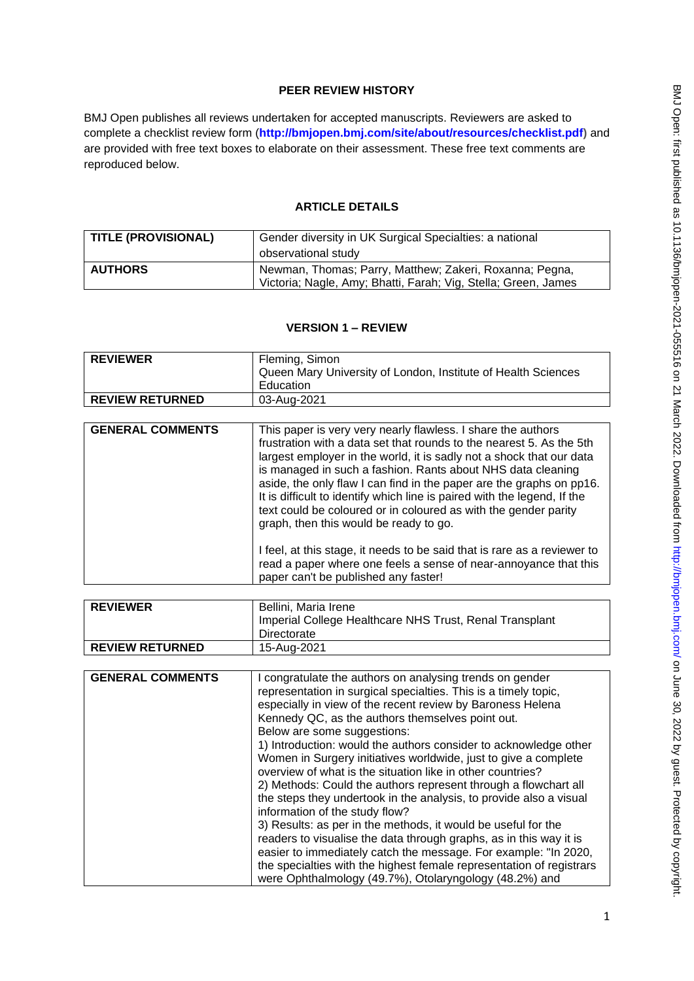### **PEER REVIEW HISTORY**

BMJ Open publishes all reviews undertaken for accepted manuscripts. Reviewers are asked to complete a checklist review form (**[http://bmjopen.bmj.com/site/about/resources/checklist.pdf\)](http://bmjopen.bmj.com/site/about/resources/checklist.pdf)** and are provided with free text boxes to elaborate on their assessment. These free text comments are reproduced below.

#### **ARTICLE DETAILS**

| TITLE (PROVISIONAL) | Gender diversity in UK Surgical Specialties: a national<br>observational study                                            |
|---------------------|---------------------------------------------------------------------------------------------------------------------------|
| <b>AUTHORS</b>      | Newman, Thomas; Parry, Matthew; Zakeri, Roxanna; Pegna,<br>Victoria; Nagle, Amy; Bhatti, Farah; Vig, Stella; Green, James |

### **VERSION 1 – REVIEW**

| <b>REVIEWER</b>        | Fleming, Simon                                                |
|------------------------|---------------------------------------------------------------|
|                        | Queen Mary University of London, Institute of Health Sciences |
|                        | Education                                                     |
| <b>REVIEW RETURNED</b> | 03-Aug-2021                                                   |

| <b>GENERAL COMMENTS</b> | This paper is very very nearly flawless. I share the authors<br>frustration with a data set that rounds to the nearest 5. As the 5th<br>largest employer in the world, it is sadly not a shock that our data<br>is managed in such a fashion. Rants about NHS data cleaning<br>aside, the only flaw I can find in the paper are the graphs on pp16.<br>It is difficult to identify which line is paired with the legend, If the<br>text could be coloured or in coloured as with the gender parity<br>graph, then this would be ready to go. |
|-------------------------|----------------------------------------------------------------------------------------------------------------------------------------------------------------------------------------------------------------------------------------------------------------------------------------------------------------------------------------------------------------------------------------------------------------------------------------------------------------------------------------------------------------------------------------------|
|                         | I feel, at this stage, it needs to be said that is rare as a reviewer to<br>read a paper where one feels a sense of near-annoyance that this<br>paper can't be published any faster!                                                                                                                                                                                                                                                                                                                                                         |

| <b>REVIEWER</b>        | Bellini, Maria Irene<br>Imperial College Healthcare NHS Trust, Renal Transplant |
|------------------------|---------------------------------------------------------------------------------|
|                        | Directorate                                                                     |
| <b>REVIEW RETURNED</b> | 15-Aug-2021                                                                     |

| <b>GENERAL COMMENTS</b> | I congratulate the authors on analysing trends on gender             |
|-------------------------|----------------------------------------------------------------------|
|                         | representation in surgical specialties. This is a timely topic,      |
|                         | especially in view of the recent review by Baroness Helena           |
|                         | Kennedy QC, as the authors themselves point out.                     |
|                         | Below are some suggestions:                                          |
|                         | 1) Introduction: would the authors consider to acknowledge other     |
|                         | Women in Surgery initiatives worldwide, just to give a complete      |
|                         | overview of what is the situation like in other countries?           |
|                         | 2) Methods: Could the authors represent through a flowchart all      |
|                         | the steps they undertook in the analysis, to provide also a visual   |
|                         | information of the study flow?                                       |
|                         | 3) Results: as per in the methods, it would be useful for the        |
|                         | readers to visualise the data through graphs, as in this way it is   |
|                         | easier to immediately catch the message. For example: "In 2020,      |
|                         | the specialties with the highest female representation of registrars |
|                         | were Ophthalmology (49.7%), Otolaryngology (48.2%) and               |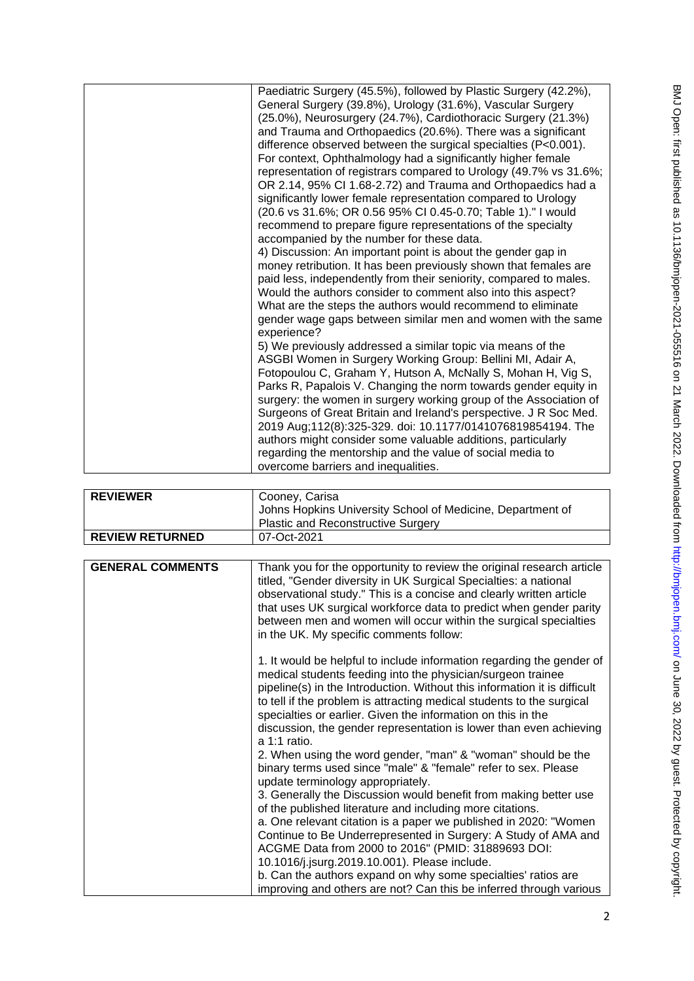| Paediatric Surgery (45.5%), followed by Plastic Surgery (42.2%),<br>General Surgery (39.8%), Urology (31.6%), Vascular Surgery<br>(25.0%), Neurosurgery (24.7%), Cardiothoracic Surgery (21.3%)<br>and Trauma and Orthopaedics (20.6%). There was a significant<br>difference observed between the surgical specialties (P<0.001).<br>For context, Ophthalmology had a significantly higher female<br>representation of registrars compared to Urology (49.7% vs 31.6%;<br>OR 2.14, 95% CI 1.68-2.72) and Trauma and Orthopaedics had a<br>significantly lower female representation compared to Urology<br>(20.6 vs 31.6%; OR 0.56 95% CI 0.45-0.70; Table 1)." I would<br>recommend to prepare figure representations of the specialty<br>accompanied by the number for these data.<br>4) Discussion: An important point is about the gender gap in<br>money retribution. It has been previously shown that females are<br>paid less, independently from their seniority, compared to males.<br>Would the authors consider to comment also into this aspect?<br>What are the steps the authors would recommend to eliminate<br>gender wage gaps between similar men and women with the same<br>experience?<br>5) We previously addressed a similar topic via means of the<br>ASGBI Women in Surgery Working Group: Bellini MI, Adair A,<br>Fotopoulou C, Graham Y, Hutson A, McNally S, Mohan H, Vig S,<br>Parks R, Papalois V. Changing the norm towards gender equity in<br>surgery: the women in surgery working group of the Association of<br>Surgeons of Great Britain and Ireland's perspective. J R Soc Med.<br>2019 Aug;112(8):325-329. doi: 10.1177/0141076819854194. The<br>authors might consider some valuable additions, particularly<br>regarding the mentorship and the value of social media to<br>overcome barriers and inequalities. |  |
|-----------------------------------------------------------------------------------------------------------------------------------------------------------------------------------------------------------------------------------------------------------------------------------------------------------------------------------------------------------------------------------------------------------------------------------------------------------------------------------------------------------------------------------------------------------------------------------------------------------------------------------------------------------------------------------------------------------------------------------------------------------------------------------------------------------------------------------------------------------------------------------------------------------------------------------------------------------------------------------------------------------------------------------------------------------------------------------------------------------------------------------------------------------------------------------------------------------------------------------------------------------------------------------------------------------------------------------------------------------------------------------------------------------------------------------------------------------------------------------------------------------------------------------------------------------------------------------------------------------------------------------------------------------------------------------------------------------------------------------------------------------------------------------------------------------------------------------------------------------|--|
|                                                                                                                                                                                                                                                                                                                                                                                                                                                                                                                                                                                                                                                                                                                                                                                                                                                                                                                                                                                                                                                                                                                                                                                                                                                                                                                                                                                                                                                                                                                                                                                                                                                                                                                                                                                                                                                           |  |

| <b>REVIEWER</b>        | Cooney, Carisa<br>Johns Hopkins University School of Medicine, Department of<br><b>Plastic and Reconstructive Surgery</b> |
|------------------------|---------------------------------------------------------------------------------------------------------------------------|
| <b>REVIEW RETURNED</b> | 07-Oct-2021                                                                                                               |

| <b>GENERAL COMMENTS</b> | Thank you for the opportunity to review the original research article<br>titled, "Gender diversity in UK Surgical Specialties: a national<br>observational study." This is a concise and clearly written article<br>that uses UK surgical workforce data to predict when gender parity<br>between men and women will occur within the surgical specialties<br>in the UK. My specific comments follow:                                              |
|-------------------------|----------------------------------------------------------------------------------------------------------------------------------------------------------------------------------------------------------------------------------------------------------------------------------------------------------------------------------------------------------------------------------------------------------------------------------------------------|
|                         | 1. It would be helpful to include information regarding the gender of<br>medical students feeding into the physician/surgeon trainee<br>pipeline(s) in the Introduction. Without this information it is difficult<br>to tell if the problem is attracting medical students to the surgical<br>specialties or earlier. Given the information on this in the<br>discussion, the gender representation is lower than even achieving<br>$a 1:1$ ratio. |
|                         | 2. When using the word gender, "man" & "woman" should be the<br>binary terms used since "male" & "female" refer to sex. Please<br>update terminology appropriately.                                                                                                                                                                                                                                                                                |
|                         | 3. Generally the Discussion would benefit from making better use<br>of the published literature and including more citations.                                                                                                                                                                                                                                                                                                                      |
|                         | a. One relevant citation is a paper we published in 2020: "Women<br>Continue to Be Underrepresented in Surgery: A Study of AMA and                                                                                                                                                                                                                                                                                                                 |
|                         | ACGME Data from 2000 to 2016" (PMID: 31889693 DOI:                                                                                                                                                                                                                                                                                                                                                                                                 |
|                         | 10.1016/j.jsurg.2019.10.001). Please include.                                                                                                                                                                                                                                                                                                                                                                                                      |
|                         | b. Can the authors expand on why some specialties' ratios are<br>improving and others are not? Can this be inferred through various                                                                                                                                                                                                                                                                                                                |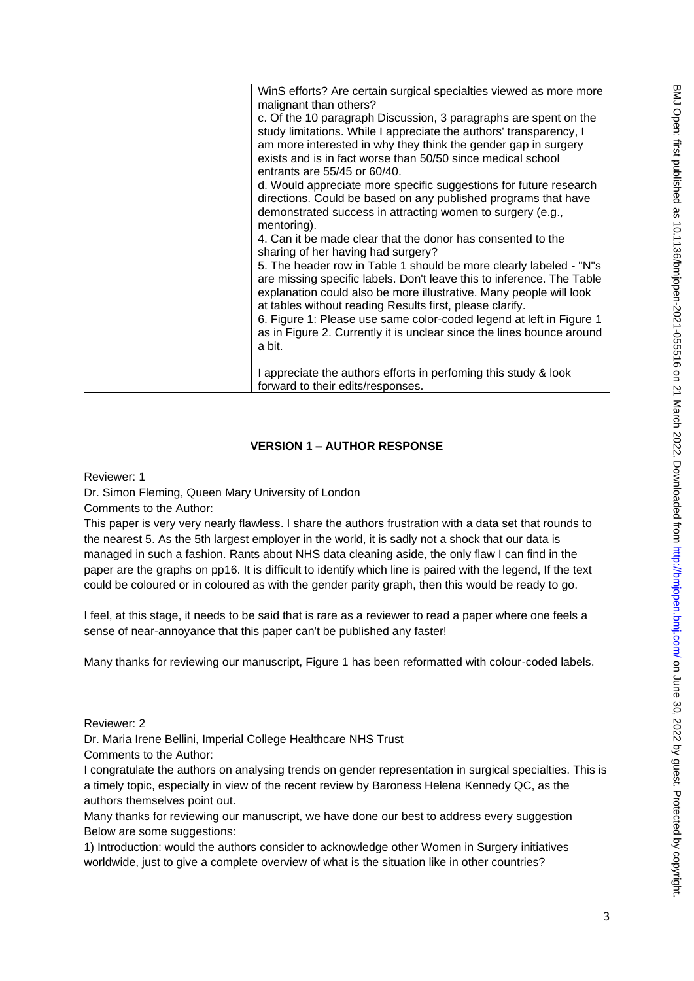| WinS efforts? Are certain surgical specialties viewed as more more<br>malignant than others?<br>c. Of the 10 paragraph Discussion, 3 paragraphs are spent on the<br>study limitations. While I appreciate the authors' transparency, I<br>am more interested in why they think the gender gap in surgery<br>exists and is in fact worse than 50/50 since medical school<br>entrants are 55/45 or 60/40.<br>d. Would appreciate more specific suggestions for future research<br>directions. Could be based on any published programs that have<br>demonstrated success in attracting women to surgery (e.g.,<br>mentoring).<br>4. Can it be made clear that the donor has consented to the<br>sharing of her having had surgery?<br>5. The header row in Table 1 should be more clearly labeled - "N"s<br>are missing specific labels. Don't leave this to inference. The Table<br>explanation could also be more illustrative. Many people will look<br>at tables without reading Results first, please clarify.<br>6. Figure 1: Please use same color-coded legend at left in Figure 1<br>as in Figure 2. Currently it is unclear since the lines bounce around<br>a bit. |
|-----------------------------------------------------------------------------------------------------------------------------------------------------------------------------------------------------------------------------------------------------------------------------------------------------------------------------------------------------------------------------------------------------------------------------------------------------------------------------------------------------------------------------------------------------------------------------------------------------------------------------------------------------------------------------------------------------------------------------------------------------------------------------------------------------------------------------------------------------------------------------------------------------------------------------------------------------------------------------------------------------------------------------------------------------------------------------------------------------------------------------------------------------------------------------|
| I appreciate the authors efforts in perfoming this study & look<br>forward to their edits/responses.                                                                                                                                                                                                                                                                                                                                                                                                                                                                                                                                                                                                                                                                                                                                                                                                                                                                                                                                                                                                                                                                        |

# **VERSION 1 – AUTHOR RESPONSE**

Reviewer: 1

Dr. Simon Fleming, Queen Mary University of London

Comments to the Author:

This paper is very very nearly flawless. I share the authors frustration with a data set that rounds to the nearest 5. As the 5th largest employer in the world, it is sadly not a shock that our data is managed in such a fashion. Rants about NHS data cleaning aside, the only flaw I can find in the paper are the graphs on pp16. It is difficult to identify which line is paired with the legend, If the text could be coloured or in coloured as with the gender parity graph, then this would be ready to go.

I feel, at this stage, it needs to be said that is rare as a reviewer to read a paper where one feels a sense of near-annoyance that this paper can't be published any faster!

Many thanks for reviewing our manuscript, Figure 1 has been reformatted with colour-coded labels.

Reviewer: 2

Dr. Maria Irene Bellini, Imperial College Healthcare NHS Trust

Comments to the Author:

I congratulate the authors on analysing trends on gender representation in surgical specialties. This is a timely topic, especially in view of the recent review by Baroness Helena Kennedy QC, as the authors themselves point out.

Many thanks for reviewing our manuscript, we have done our best to address every suggestion Below are some suggestions:

1) Introduction: would the authors consider to acknowledge other Women in Surgery initiatives worldwide, just to give a complete overview of what is the situation like in other countries?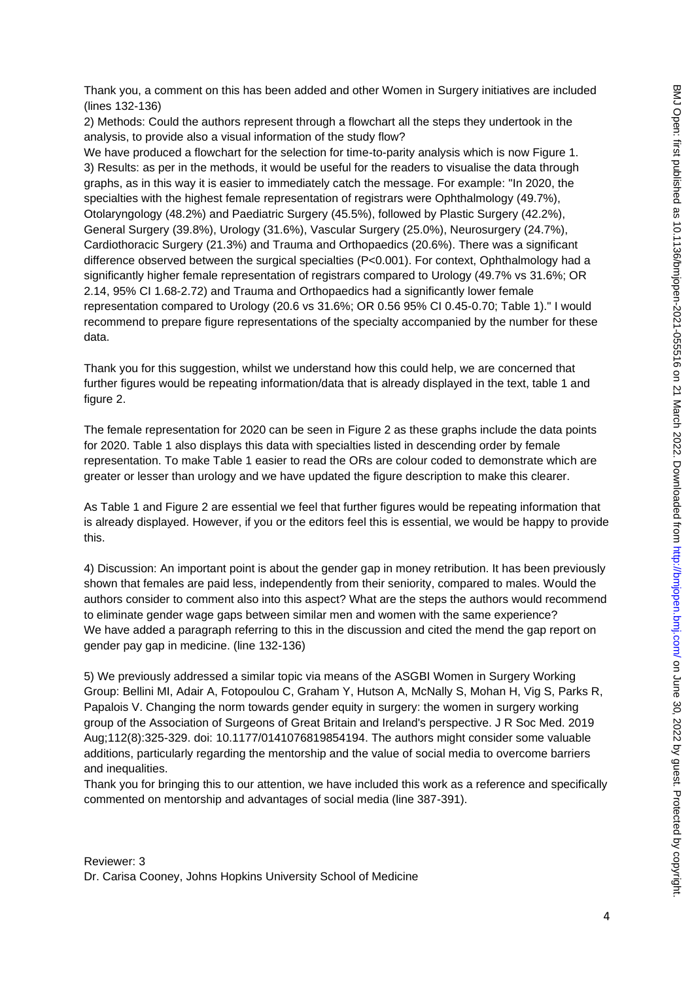Thank you, a comment on this has been added and other Women in Surgery initiatives are included (lines 132-136)

2) Methods: Could the authors represent through a flowchart all the steps they undertook in the analysis, to provide also a visual information of the study flow?

We have produced a flowchart for the selection for time-to-parity analysis which is now Figure 1. 3) Results: as per in the methods, it would be useful for the readers to visualise the data through graphs, as in this way it is easier to immediately catch the message. For example: "In 2020, the specialties with the highest female representation of registrars were Ophthalmology (49.7%), Otolaryngology (48.2%) and Paediatric Surgery (45.5%), followed by Plastic Surgery (42.2%), General Surgery (39.8%), Urology (31.6%), Vascular Surgery (25.0%), Neurosurgery (24.7%), Cardiothoracic Surgery (21.3%) and Trauma and Orthopaedics (20.6%). There was a significant difference observed between the surgical specialties (P<0.001). For context, Ophthalmology had a significantly higher female representation of registrars compared to Urology (49.7% vs 31.6%; OR 2.14, 95% CI 1.68-2.72) and Trauma and Orthopaedics had a significantly lower female representation compared to Urology (20.6 vs 31.6%; OR 0.56 95% CI 0.45-0.70; Table 1)." I would recommend to prepare figure representations of the specialty accompanied by the number for these data.

Thank you for this suggestion, whilst we understand how this could help, we are concerned that further figures would be repeating information/data that is already displayed in the text, table 1 and figure 2.

The female representation for 2020 can be seen in Figure 2 as these graphs include the data points for 2020. Table 1 also displays this data with specialties listed in descending order by female representation. To make Table 1 easier to read the ORs are colour coded to demonstrate which are greater or lesser than urology and we have updated the figure description to make this clearer.

As Table 1 and Figure 2 are essential we feel that further figures would be repeating information that is already displayed. However, if you or the editors feel this is essential, we would be happy to provide this.

4) Discussion: An important point is about the gender gap in money retribution. It has been previously shown that females are paid less, independently from their seniority, compared to males. Would the authors consider to comment also into this aspect? What are the steps the authors would recommend to eliminate gender wage gaps between similar men and women with the same experience? We have added a paragraph referring to this in the discussion and cited the mend the gap report on gender pay gap in medicine. (line 132-136)

5) We previously addressed a similar topic via means of the ASGBI Women in Surgery Working Group: Bellini MI, Adair A, Fotopoulou C, Graham Y, Hutson A, McNally S, Mohan H, Vig S, Parks R, Papalois V. Changing the norm towards gender equity in surgery: the women in surgery working group of the Association of Surgeons of Great Britain and Ireland's perspective. J R Soc Med. 2019 Aug;112(8):325-329. doi: 10.1177/0141076819854194. The authors might consider some valuable additions, particularly regarding the mentorship and the value of social media to overcome barriers and inequalities.

Thank you for bringing this to our attention, we have included this work as a reference and specifically commented on mentorship and advantages of social media (line 387-391).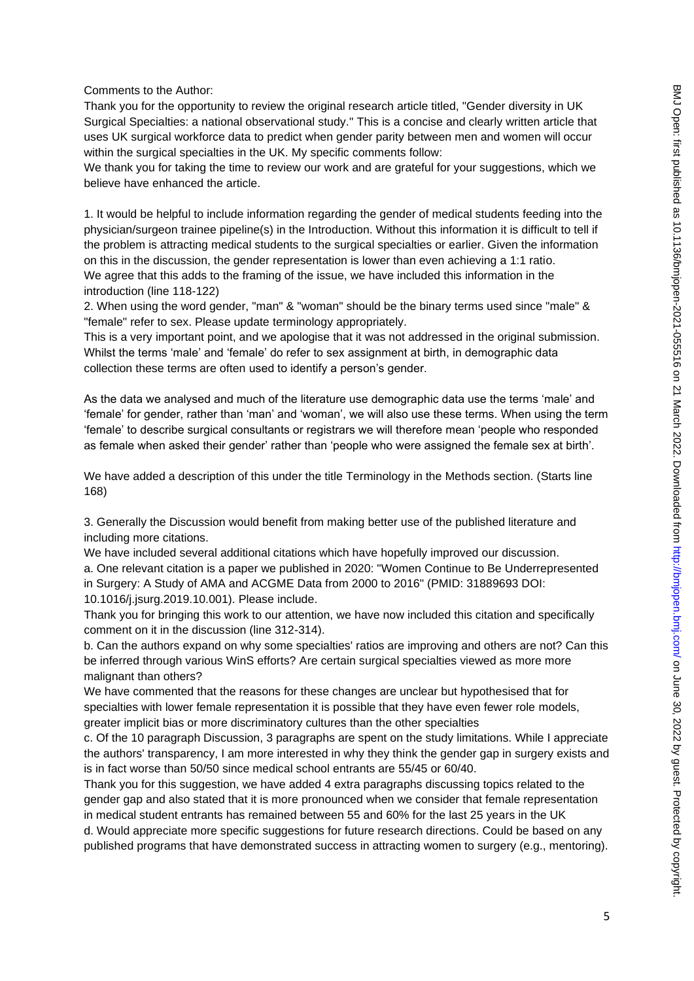Comments to the Author:

Thank you for the opportunity to review the original research article titled, "Gender diversity in UK Surgical Specialties: a national observational study." This is a concise and clearly written article that uses UK surgical workforce data to predict when gender parity between men and women will occur within the surgical specialties in the UK. My specific comments follow:

We thank you for taking the time to review our work and are grateful for your suggestions, which we believe have enhanced the article.

1. It would be helpful to include information regarding the gender of medical students feeding into the physician/surgeon trainee pipeline(s) in the Introduction. Without this information it is difficult to tell if the problem is attracting medical students to the surgical specialties or earlier. Given the information on this in the discussion, the gender representation is lower than even achieving a 1:1 ratio. We agree that this adds to the framing of the issue, we have included this information in the introduction (line 118-122)

2. When using the word gender, "man" & "woman" should be the binary terms used since "male" & "female" refer to sex. Please update terminology appropriately.

This is a very important point, and we apologise that it was not addressed in the original submission. Whilst the terms 'male' and 'female' do refer to sex assignment at birth, in demographic data collection these terms are often used to identify a person's gender.

As the data we analysed and much of the literature use demographic data use the terms 'male' and 'female' for gender, rather than 'man' and 'woman', we will also use these terms. When using the term 'female' to describe surgical consultants or registrars we will therefore mean 'people who responded as female when asked their gender' rather than 'people who were assigned the female sex at birth'.

We have added a description of this under the title Terminology in the Methods section. (Starts line 168)

3. Generally the Discussion would benefit from making better use of the published literature and including more citations.

We have included several additional citations which have hopefully improved our discussion. a. One relevant citation is a paper we published in 2020: "Women Continue to Be Underrepresented in Surgery: A Study of AMA and ACGME Data from 2000 to 2016" (PMID: 31889693 DOI: 10.1016/j.jsurg.2019.10.001). Please include.

Thank you for bringing this work to our attention, we have now included this citation and specifically comment on it in the discussion (line 312-314).

b. Can the authors expand on why some specialties' ratios are improving and others are not? Can this be inferred through various WinS efforts? Are certain surgical specialties viewed as more more malignant than others?

We have commented that the reasons for these changes are unclear but hypothesised that for specialties with lower female representation it is possible that they have even fewer role models, greater implicit bias or more discriminatory cultures than the other specialties

c. Of the 10 paragraph Discussion, 3 paragraphs are spent on the study limitations. While I appreciate the authors' transparency, I am more interested in why they think the gender gap in surgery exists and is in fact worse than 50/50 since medical school entrants are 55/45 or 60/40.

Thank you for this suggestion, we have added 4 extra paragraphs discussing topics related to the gender gap and also stated that it is more pronounced when we consider that female representation in medical student entrants has remained between 55 and 60% for the last 25 years in the UK

d. Would appreciate more specific suggestions for future research directions. Could be based on any published programs that have demonstrated success in attracting women to surgery (e.g., mentoring).